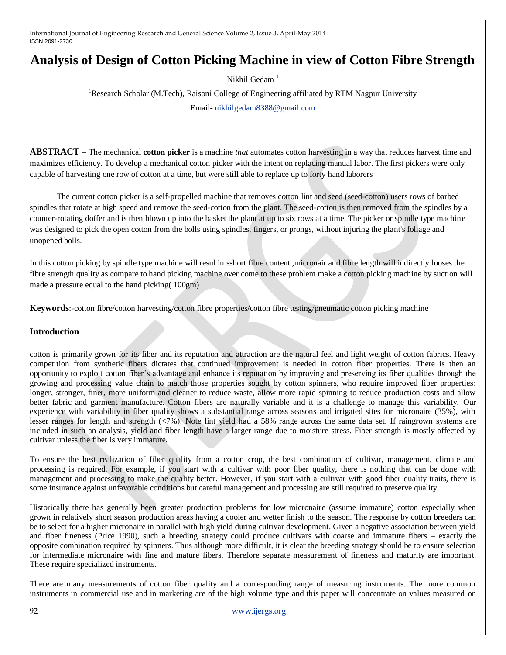# **Analysis of Design of Cotton Picking Machine in view of Cotton Fibre Strength**

Nikhil Gedam<sup>1</sup>

<sup>1</sup>Research Scholar (M.Tech), Raisoni College of Engineering affiliated by RTM Nagpur University

Email- [nikhilgedam8388@gmail.com](mailto:nikhilgedam8388@gmail.com)

**ABSTRACT –** The mechanical **cotton picker** is a machine *that* automate[s cotton](http://en.wikipedia.org/wiki/Cotton) [harvesting](http://en.wikipedia.org/wiki/Harvest) in a way that reduces harvest time and maximizes efficiency. To develop a mechanical cotton picker with the intent on replacing manual labor. The first pickers were only capable of harvesting one row of cotton at a time, but were still able to replace up to forty [hand laborers](http://en.wikipedia.org/wiki/Manual_labour)

 The current cotton picker is a self-propelled machine that removes cotton lint and seed (seed-cotton) users rows of barbed [spindles](http://en.wikipedia.org/wiki/Spindle_%28tool%29) that rotate at high speed and remove the seed-cotton from the plant. The seed-cotton is then removed from the spindles by a counter-rotating doffer and is then blown up into the basket the plant at up to six rows at a time. The picker or spindle type machine was designed to pick the open cotton from the bolls using spindles, fingers, or prongs, without injuring the plant's foliage and unopened bolls.

In this cotton picking by spindle type machine will resul in sshort fibre content ,micronair and fibre length will indirectly looses the fibre strength quality as compare to hand picking machine.over come to these problem make a cotton picking machine by suction will made a pressure equal to the hand picking( 100gm)

**Keywords**:-cotton fibre/cotton harvesting/cotton fibre properties/cotton fibre testing/pneumatic cotton picking machine

#### **Introduction**

cotton is primarily grown for its fiber and its reputation and attraction are the natural feel and light weight of cotton fabrics. Heavy competition from synthetic fibers dictates that continued improvement is needed in cotton fiber properties. There is then an opportunity to exploit cotton fiber's advantage and enhance its reputation by improving and preserving its fiber qualities through the growing and processing value chain to match those properties sought by cotton spinners, who require improved fiber properties: longer, stronger, finer, more uniform and cleaner to reduce waste, allow more rapid spinning to reduce production costs and allow better fabric and garment manufacture. Cotton fibers are naturally variable and it is a challenge to manage this variability. Our experience with variability in fiber quality shows a substantial range across seasons and irrigated sites for micronaire (35%), with lesser ranges for length and strength (<7%). Note lint yield had a 58% range across the same data set. If raingrown systems are included in such an analysis, yield and fiber length have a larger range due to moisture stress. Fiber strength is mostly affected by cultivar unless the fiber is very immature.

To ensure the best realization of fiber quality from a cotton crop, the best combination of cultivar, management, climate and processing is required. For example, if you start with a cultivar with poor fiber quality, there is nothing that can be done with management and processing to make the quality better. However, if you start with a cultivar with good fiber quality traits, there is some insurance against unfavorable conditions but careful management and processing are still required to preserve quality.

Historically there has generally been greater production problems for low micronaire (assume immature) cotton especially when grown in relatively short season production areas having a cooler and wetter finish to the season. The response by cotton breeders can be to select for a higher micronaire in parallel with high yield during cultivar development. Given a negative association between yield and fiber fineness (Price 1990), such a breeding strategy could produce cultivars with coarse and immature fibers – exactly the opposite combination required by spinners. Thus although more difficult, it is clear the breeding strategy should be to ensure selection for intermediate micronaire with fine and mature fibers. Therefore separate measurement of fineness and maturity are important. These require specialized instruments.

There are many measurements of cotton fiber quality and a corresponding range of measuring instruments. The more common instruments in commercial use and in marketing are of the high volume type and this paper will concentrate on values measured on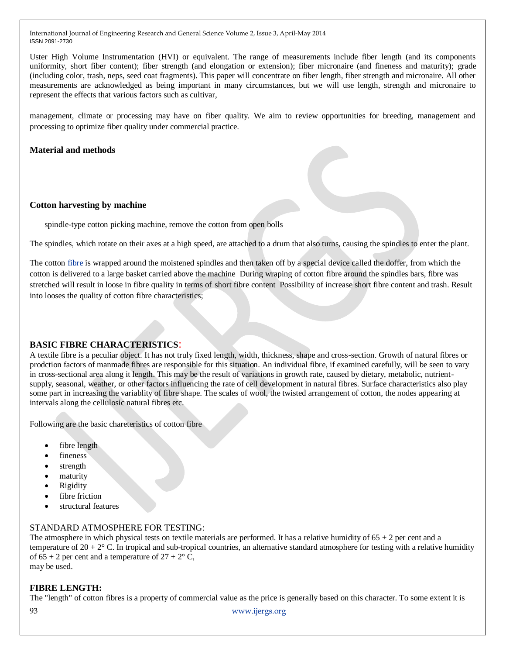Uster High Volume Instrumentation (HVI) or equivalent. The range of measurements include fiber length (and its components uniformity, short fiber content); fiber strength (and elongation or extension); fiber micronaire (and fineness and maturity); grade (including color, trash, neps, seed coat fragments). This paper will concentrate on fiber length, fiber strength and micronaire. All other measurements are acknowledged as being important in many circumstances, but we will use length, strength and micronaire to represent the effects that various factors such as cultivar,

management, climate or processing may have on fiber quality. We aim to review opportunities for breeding, management and processing to optimize fiber quality under commercial practice.

### **Material and methods**

### **Cotton harvesting by machine**

spindle-type cotton picking machine, remove the cotton from open bolls

The spindles, which rotate on their axes at a high speed, are attached to a drum that also turns, causing the spindles to enter the plant.

The cotton [fibre](http://www.britannica.com/EBchecked/topic/205816/fibre) is wrapped around the moistened spindles and then taken off by a special device called the doffer, from which the cotton is delivered to a large basket carried above the machine During wraping of cotton fibre around the spindles bars, fibre was stretched will result in loose in fibre quality in terms of short fibre content Possibility of increase short fibre content and trash. Result into looses the quality of cotton fibre characteristics;

### **BASIC FIBRE CHARACTERISTICS**:

A textile fibre is a peculiar object. It has not truly fixed length, width, thickness, shape and cross-section. Growth of natural fibres or prodction factors of manmade fibres are responsible for this situation. An individual fibre, if examined carefully, will be seen to vary in cross-sectional area along it length. This may be the result of variations in growth rate, caused by dietary, metabolic, nutrientsupply, seasonal, weather, or other factors influencing the rate of cell development in natural fibres. Surface characteristics also play some part in increasing the variablity of fibre shape. The scales of wool, the twisted arrangement of cotton, the nodes appearing at intervals along the cellulosic natural fibres etc.

Following are the basic chareteristics of cotton fibre

- fibre length
- fineness
- strength
- maturity
- Rigidity
- fibre friction
- structural features

### STANDARD ATMOSPHERE FOR TESTING:

The atmosphere in which physical tests on textile materials are performed. It has a relative humidity of  $65 + 2$  per cent and a temperature of  $20 + 2^{\circ}$  C. In tropical and sub-tropical countries, an alternative standard atmosphere for testing with a relative humidity of  $65 + 2$  per cent and a temperature of  $27 + 2^{\circ}$  C, may be used.

## **FIBRE LENGTH:**

The "length" of cotton fibres is a property of commercial value as the price is generally based on this character. To some extent it is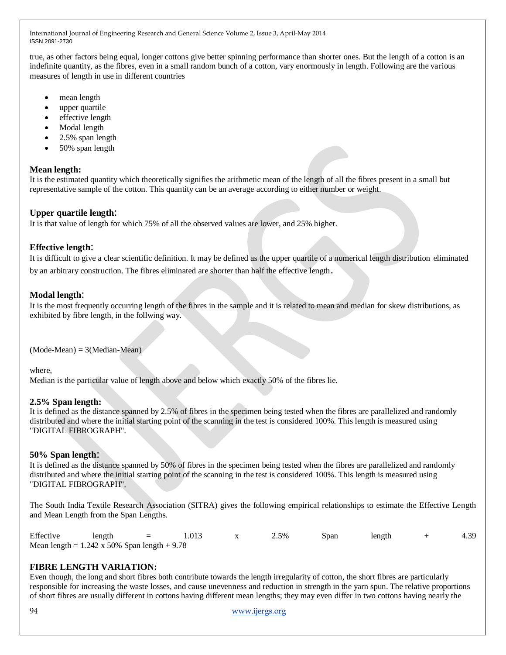true, as other factors being equal, longer cottons give better spinning performance than shorter ones. But the length of a cotton is an indefinite quantity, as the fibres, even in a small random bunch of a cotton, vary enormously in length. Following are the various measures of length in use in different countries

- mean length
- upper quartile
- effective length
- Modal length
- 2.5% span length
- 50% span length

### **Mean length:**

It is the estimated quantity which theoretically signifies the arithmetic mean of the length of all the fibres present in a small but representative sample of the cotton. This quantity can be an average according to either number or weight.

#### **Upper quartile length**:

It is that value of length for which 75% of all the observed values are lower, and 25% higher.

#### **Effective length**:

It is difficult to give a clear scientific definition. It may be defined as the upper quartile of a numerical length distribution eliminated by an arbitrary construction. The fibres eliminated are shorter than half the effective length.

#### **Modal length**:

It is the most frequently occurring length of the fibres in the sample and it is related to mean and median for skew distributions, as exhibited by fibre length, in the follwing way.

 $(Mode-Mean) = 3(Median-Mean)$ 

where,

Median is the particular value of length above and below which exactly 50% of the fibres lie.

### **2.5% Span length:**

It is defined as the distance spanned by 2.5% of fibres in the specimen being tested when the fibres are parallelized and randomly distributed and where the initial starting point of the scanning in the test is considered 100%. This length is measured using "DIGITAL FIBROGRAPH".

### **50% Span length**:

It is defined as the distance spanned by 50% of fibres in the specimen being tested when the fibres are parallelized and randomly distributed and where the initial starting point of the scanning in the test is considered 100%. This length is measured using "DIGITAL FIBROGRAPH".

The South India Textile Research Association (SITRA) gives the following empirical relationships to estimate the Effective Length and Mean Length from the Span Lengths.

| $\text{Effective}$ length $=$                        |  | 1.013 |  | x 2.5% Span length | 4.39 |
|------------------------------------------------------|--|-------|--|--------------------|------|
| Mean length = $1.242 \times 50\%$ Span length + 9.78 |  |       |  |                    |      |

### **FIBRE LENGTH VARIATION:**

Even though, the long and short fibres both contribute towards the length irregularity of cotton, the short fibres are particularly responsible for increasing the waste losses, and cause unevenness and reduction in strength in the yarn spun. The relative proportions of short fibres are usually different in cottons having different mean lengths; they may even differ in two cottons having nearly the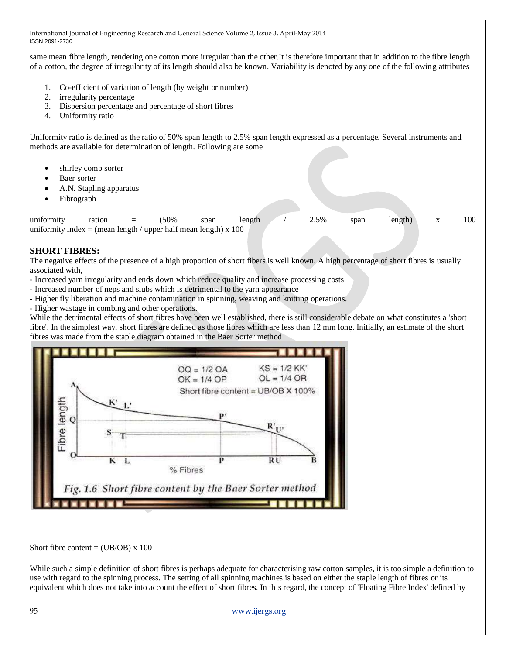same mean fibre length, rendering one cotton more irregular than the other.It is therefore important that in addition to the fibre length of a cotton, the degree of irregularity of its length should also be known. Variability is denoted by any one of the following attributes

- 1. Co-efficient of variation of length (by weight or number)
- 2. irregularity percentage
- 3. Dispersion percentage and percentage of short fibres
- 4. Uniformity ratio

Uniformity ratio is defined as the ratio of 50% span length to 2.5% span length expressed as a percentage. Several instruments and methods are available for determination of length. Following are some

- shirley comb sorter
- Baer sorter
- A.N. Stapling apparatus
- Fibrograph

uniformity ration =  $(50\%$  span length  $/$   $2.5\%$  span length) x 100 uniformity index = (mean length / upper half mean length)  $x$  100

### **SHORT FIBRES:**

The negative effects of the presence of a high proportion of short fibers is well known. A high percentage of short fibres is usually associated with,

- Increased yarn irregularity and ends down which reduce quality and increase processing costs
- Increased number of neps and slubs which is detrimental to the yarn appearance
- Higher fly liberation and machine contamination in spinning, weaving and knitting operations.
- Higher wastage in combing and other operations.

While the detrimental effects of short fibres have been well established, there is still considerable debate on what constitutes a 'short fibre'. In the simplest way, short fibres are defined as those fibres which are less than 12 mm long. Initially, an estimate of the short fibres was made from the staple diagram obtained in the Baer Sorter method



Short fibre content =  $(UB/OB) \times 100$ 

While such a simple definition of short fibres is perhaps adequate for characterising raw cotton samples, it is too simple a definition to use with regard to the spinning process. The setting of all spinning machines is based on either the staple length of fibres or its equivalent which does not take into account the effect of short fibres. In this regard, the concept of 'Floating Fibre Index' defined by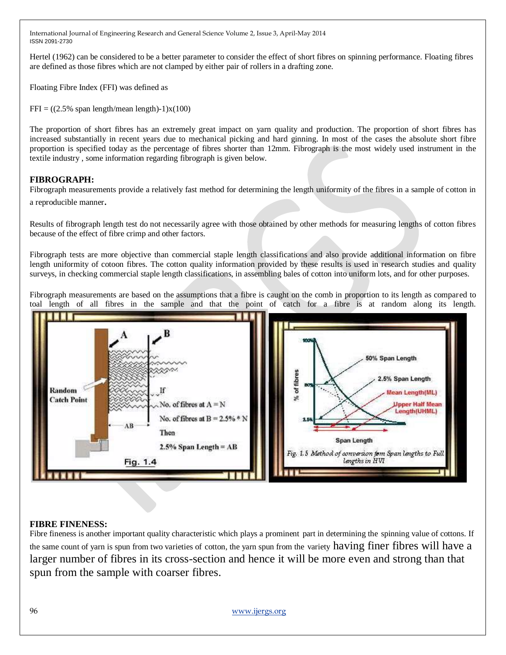Hertel (1962) can be considered to be a better parameter to consider the effect of short fibres on spinning performance. Floating fibres are defined as those fibres which are not clamped by either pair of rollers in a drafting zone.

Floating Fibre Index (FFI) was defined as

 $FFI = ((2.5\% \text{ span length/mean length})-1)x(100)$ 

The proportion of short fibres has an extremely great impact on yarn quality and production. The proportion of short fibres has increased substantially in recent years due to mechanical picking and hard ginning. In most of the cases the absolute short fibre proportion is specified today as the percentage of fibres shorter than 12mm. Fibrograph is the most widely used instrument in the textile industry , some information regarding fibrograph is given below.

### **FIBROGRAPH:**

Fibrograph measurements provide a relatively fast method for determining the length uniformity of the fibres in a sample of cotton in

a reproducible manner.

Results of fibrograph length test do not necessarily agree with those obtained by other methods for measuring lengths of cotton fibres because of the effect of fibre crimp and other factors.

Fibrograph tests are more objective than commercial staple length classifications and also provide additional information on fibre length uniformity of cotoon fibres. The cotton quality information provided by these results is used in research studies and quality surveys, in checking commercial staple length classifications, in assembling bales of cotton into uniform lots, and for other purposes.

Fibrograph measurements are based on the assumptions that a fibre is caught on the comb in proportion to its length as compared to toal length of all fibres in the sample and that the point of catch for a fibre is at random along its length.



### **FIBRE FINENESS:**

Fibre fineness is another important quality characteristic which plays a prominent part in determining the spinning value of cottons. If the same count of yarn is spun from two varieties of cotton, the yarn spun from the variety having finer fibres will have a larger number of fibres in its cross-section and hence it will be more even and strong than that spun from the sample with coarser fibres.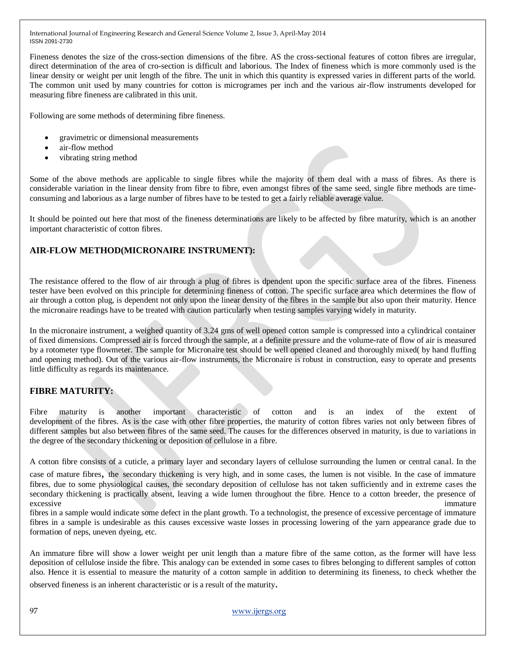Fineness denotes the size of the cross-section dimensions of the fibre. AS the cross-sectional features of cotton fibres are irregular, direct determination of the area of cro-section is difficult and laborious. The Index of fineness which is more commonly used is the linear density or weight per unit length of the fibre. The unit in which this quantity is expressed varies in different parts of the world. The common unit used by many countries for cotton is microgrames per inch and the various air-flow instruments developed for measuring fibre fineness are calibrated in this unit.

Following are some methods of determining fibre fineness.

- gravimetric or dimensional measurements
- air-flow method
- vibrating string method

Some of the above methods are applicable to single fibres while the majority of them deal with a mass of fibres. As there is considerable variation in the linear density from fibre to fibre, even amongst fibres of the same seed, single fibre methods are timeconsuming and laborious as a large number of fibres have to be tested to get a fairly reliable average value.

It should be pointed out here that most of the fineness determinations are likely to be affected by fibre maturity, which is an another important characteristic of cotton fibres.

### **AIR-FLOW METHOD(MICRONAIRE INSTRUMENT):**

The resistance offered to the flow of air through a plug of fibres is dpendent upon the specific surface area of the fibres. Fineness tester have been evolved on this principle for determining fineness of cotton. The specific surface area which determines the flow of air through a cotton plug, is dependent not only upon the linear density of the fibres in the sample but also upon their maturity. Hence the micronaire readings have to be treated with caution particularly when testing samples varying widely in maturity.

In the micronaire instrument, a weighed quantity of 3.24 gms of well opened cotton sample is compressed into a cylindrical container of fixed dimensions. Compressed air is forced through the sample, at a definite pressure and the volume-rate of flow of air is measured by a rotometer type flowmeter. The sample for Micronaire test should be well opened cleaned and thoroughly mixed( by hand fluffing and opening method). Out of the various air-flow instruments, the Micronaire is robust in construction, easy to operate and presents little difficulty as regards its maintenance.

### **FIBRE MATURITY:**

Fibre maturity is another important characteristic of cotton and is an index of the extent of development of the fibres. As is the case with other fibre properties, the maturity of cotton fibres varies not only between fibres of different samples but also between fibres of the same seed. The causes for the differences observed in maturity, is due to variations in the degree of the secondary thickening or deposition of cellulose in a fibre.

A cotton fibre consists of a cuticle, a primary layer and secondary layers of cellulose surrounding the lumen or central canal. In the

case of mature fibres, the secondary thickening is very high, and in some cases, the lumen is not visible. In the case of immature fibres, due to some physiological causes, the secondary deposition of cellulose has not taken sufficiently and in extreme cases the secondary thickening is practically absent, leaving a wide lumen throughout the fibre. Hence to a cotton breeder, the presence of excessive immature in the contract of the contract of the contract of the contract of the contract of the contract of the contract of the contract of the contract of the contract of the contract of the contract of the cont

fibres in a sample would indicate some defect in the plant growth. To a technologist, the presence of excessive percentage of immature fibres in a sample is undesirable as this causes excessive waste losses in processing lowering of the yarn appearance grade due to formation of neps, uneven dyeing, etc.

An immature fibre will show a lower weight per unit length than a mature fibre of the same cotton, as the former will have less deposition of cellulose inside the fibre. This analogy can be extended in some cases to fibres belonging to different samples of cotton also. Hence it is essential to measure the maturity of a cotton sample in addition to determining its fineness, to check whether the

observed fineness is an inherent characteristic or is a result of the maturity.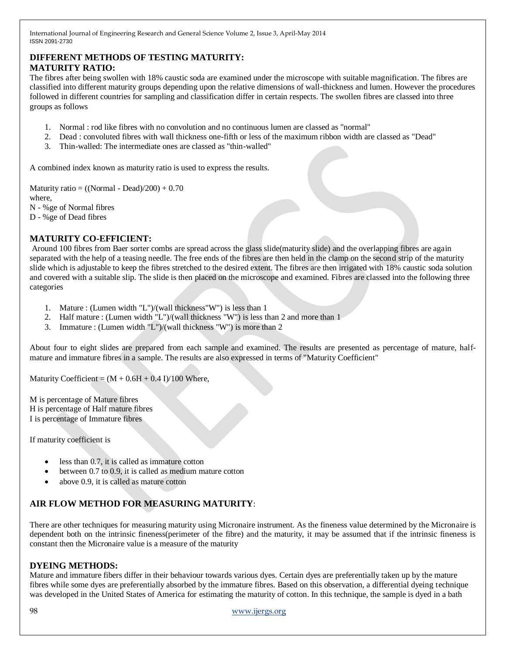### **DIFFERENT METHODS OF TESTING MATURITY: MATURITY RATIO:**

The fibres after being swollen with 18% caustic soda are examined under the microscope with suitable magnification. The fibres are classified into different maturity groups depending upon the relative dimensions of wall-thickness and lumen. However the procedures followed in different countries for sampling and classification differ in certain respects. The swollen fibres are classed into three groups as follows

- 1. Normal : rod like fibres with no convolution and no continuous lumen are classed as "normal"
- 2. Dead : convoluted fibres with wall thickness one-fifth or less of the maximum ribbon width are classed as "Dead"
- 3. Thin-walled: The intermediate ones are classed as "thin-walled"

A combined index known as maturity ratio is used to express the results.

Maturity ratio =  $((Normal - Dead)/200) + 0.70$ where, N - %ge of Normal fibres D - %ge of Dead fibres

### **MATURITY CO-EFFICIENT:**

Around 100 fibres from Baer sorter combs are spread across the glass slide(maturity slide) and the overlapping fibres are again separated with the help of a teasing needle. The free ends of the fibres are then held in the clamp on the second strip of the maturity slide which is adjustable to keep the fibres stretched to the desired extent. The fibres are then irrigated with 18% caustic soda solution and covered with a suitable slip. The slide is then placed on the microscope and examined. Fibres are classed into the following three categories

- 1. Mature : (Lumen width "L")/(wall thickness"W") is less than 1
- 2. Half mature : (Lumen width "L")/(wall thickness "W") is less than 2 and more than 1
- 3. Immature : (Lumen width "L")/(wall thickness "W") is more than 2

About four to eight slides are prepared from each sample and examined. The results are presented as percentage of mature, halfmature and immature fibres in a sample. The results are also expressed in terms of "Maturity Coefficient"

Maturity Coefficient =  $(M + 0.6H + 0.4 I)/100$  Where,

M is percentage of Mature fibres H is percentage of Half mature fibres I is percentage of Immature fibres

If maturity coefficient is

- less than 0.7, it is called as immature cotton
- between 0.7 to 0.9, it is called as medium mature cotton
- above 0.9, it is called as mature cotton

### **AIR FLOW METHOD FOR MEASURING MATURITY**:

There are other techniques for measuring maturity using Micronaire instrument. As the fineness value determined by the Micronaire is dependent both on the intrinsic fineness(perimeter of the fibre) and the maturity, it may be assumed that if the intrinsic fineness is constant then the Micronaire value is a measure of the maturity

### **DYEING METHODS:**

Mature and immature fibers differ in their behaviour towards various dyes. Certain dyes are preferentially taken up by the mature fibres while some dyes are preferentially absorbed by the immature fibres. Based on this observation, a differential dyeing technique was developed in the United States of America for estimating the maturity of cotton. In this technique, the sample is dyed in a bath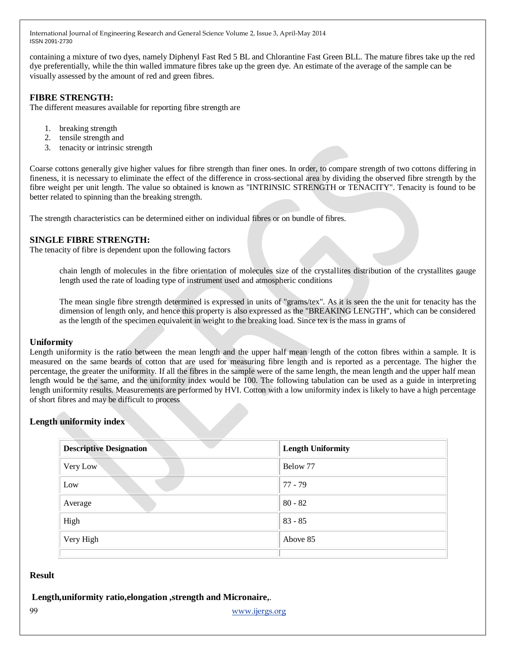containing a mixture of two dyes, namely Diphenyl Fast Red 5 BL and Chlorantine Fast Green BLL. The mature fibres take up the red dye preferentially, while the thin walled immature fibres take up the green dye. An estimate of the average of the sample can be visually assessed by the amount of red and green fibres.

### **FIBRE STRENGTH:**

The different measures available for reporting fibre strength are

- 1. breaking strength
- 2. tensile strength and
- 3. tenacity or intrinsic strength

Coarse cottons generally give higher values for fibre strength than finer ones. In order, to compare strength of two cottons differing in fineness, it is necessary to eliminate the effect of the difference in cross-sectional area by dividing the observed fibre strength by the fibre weight per unit length. The value so obtained is known as "INTRINSIC STRENGTH or TENACITY". Tenacity is found to be better related to spinning than the breaking strength.

The strength characteristics can be determined either on individual fibres or on bundle of fibres.

### **SINGLE FIBRE STRENGTH:**

The tenacity of fibre is dependent upon the following factors

chain length of molecules in the fibre orientation of molecules size of the crystallites distribution of the crystallites gauge length used the rate of loading type of instrument used and atmospheric conditions

The mean single fibre strength determined is expressed in units of "grams/tex". As it is seen the the unit for tenacity has the dimension of length only, and hence this property is also expressed as the "BREAKING LENGTH", which can be considered as the length of the specimen equivalent in weight to the breaking load. Since tex is the mass in grams of

### **Uniformity**

Length uniformity is the ratio between the mean length and the upper half mean length of the cotton fibres within a sample. It is measured on the same beards of cotton that are used for measuring fibre length and is reported as a percentage. The higher the percentage, the greater the uniformity. If all the fibres in the sample were of the same length, the mean length and the upper half mean length would be the same, and the uniformity index would be 100. The following tabulation can be used as a guide in interpreting length uniformity results. Measurements are performed by HVI. Cotton with a low uniformity index is likely to have a high percentage of short fibres and may be difficult to process

### **Length uniformity index**

| <b>Descriptive Designation</b> | <b>Length Uniformity</b> |
|--------------------------------|--------------------------|
| Very Low                       | Below 77                 |
| Low                            | $77 - 79$                |
| Average                        | $80 - 82$                |
| High                           | $83 - 85$                |
| Very High                      | Above 85                 |
|                                |                          |

### **Result**

### **Length,uniformity ratio,elongation ,strength and Micronaire,**.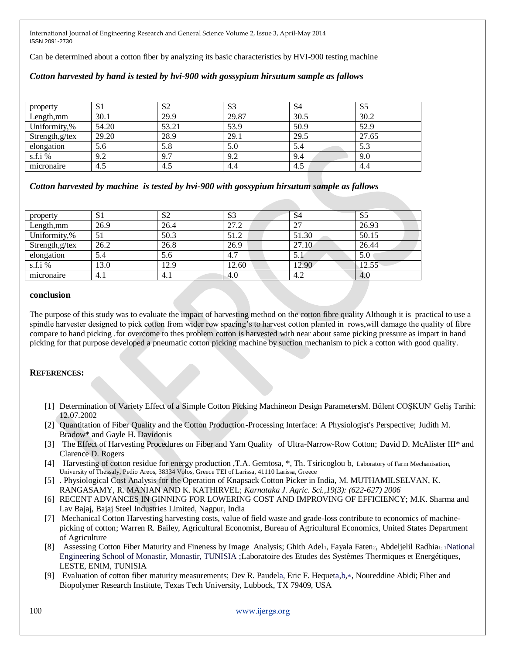Can be determined about a cotton fiber by analyzing its basic characteristics by HVI-900 testing machine

### *Cotton harvested by hand is tested by hvi-900 with gossypium hirsutum sample as fallows*

| property        | S1    | S <sub>2</sub> | S <sub>3</sub> | S4   | S <sub>5</sub> |
|-----------------|-------|----------------|----------------|------|----------------|
| Length, mm      | 30.1  | 29.9           | 29.87          | 30.5 | 30.2           |
| Uniformity,%    | 54.20 | 53.21          | 53.9           | 50.9 | 52.9           |
| Strength, g/tex | 29.20 | 28.9           | 29.1           | 29.5 | 27.65          |
| elongation      | 5.6   | 5.8            | 5.0            | 5.4  | 5.3            |
| s.f.i %         | 9.2   | 9.7            | 9.2            | 9.4  | 9.0            |
| micronaire      | 4.5   | 4.5            | 4.4            | 4.5  | 4.4            |

*Cotton harvested by machine is tested by hvi-900 with gossypium hirsutum sample as fallows*

| property        | S <sub>1</sub> | S <sub>2</sub> | S <sub>3</sub> | S4    | S <sub>5</sub> |
|-----------------|----------------|----------------|----------------|-------|----------------|
| Length, mm      | 26.9           | 26.4           | 27.2           | 27    | 26.93          |
| Uniformity,%    | 51             | 50.3           | 51.2           | 51.30 | 50.15          |
| Strength, g/tex | 26.2           | 26.8           | 26.9           | 27.10 | 26.44          |
| elongation      | 5.4            | 5.6            | 4.7            | 5.1   | 5.0            |
| s.f.i %         | 13.0           | 12.9           | 12.60          | 12.90 | 12.55          |
| micronaire      | 4.1            | 4.1            | 4.0            | 4.2   | 4.0            |

#### **conclusion**

The purpose of this study was to evaluate the impact of harvesting method on the cotton fibre quality Although it is practical to use a spindle harvester designed to pick cotton from wider row spacing's to harvest cotton planted in rows,will damage the quality of fibre compare to hand picking .for overcome to thes problem cotton is harvested with near about same picking pressure as impart in hand picking for that purpose developed a pneumatic cotton picking machine by suction mechanism to pick a cotton with good quality.

### **REFERENCES:**

- [1] Determination of Variety Effect of a Simple Cotton Picking Machineon Design Parameter**s**M. Bülent COŞKUN' Geliş Tarihi: 12.07.2002
- [2] Quantitation of Fiber Quality and the Cotton Production-Processing Interface: A Physiologist's Perspective; Judith M. Bradow\* and Gayle H. Davidonis
- [3] The Effect of Harvesting Procedures on Fiber and Yarn Qualityof Ultra-Narrow-Row Cotton; David D. McAlister III\* and Clarence D. Rogers
- [4] Harvesting of cotton residue for energy production ,T.A. Gemtosa, \*, Th. Tsiricoglou b, Laboratory of Farm Mechanisation, University of Thessaly, Pedio Areos, 38334 Volos, Greece TEI of Larissa, 41110 Larissa, Greece
- [5] . Physiological Cost Analysis for the Operation of Knapsack Cotton Picker in India, M. MUTHAMILSELVAN, K. RANGASAMY, R. MANIAN AND K. KATHIRVEL; *Karnataka J. Agric. Sci.,19(3): (622-627) 2006*
- [6] RECENT ADVANCES IN GINNING FOR LOWERING COST AND IMPROVING OF EFFICIENCY; M.K. Sharma and Lav Bajaj, Bajaj Steel Industries Limited, Nagpur, India
- [7] Mechanical Cotton Harvesting harvesting costs, value of field waste and grade-loss contribute to economics of machinepicking of cotton; Warren R. Bailey, Agricultural Economist, Bureau of Agricultural Economics, United States Department of Agriculture
- [8] Assessing Cotton Fiber Maturity and Fineness by Image Analysis; Ghith Adel<sub>1</sub>, Fayala Faten2, Abdeljelil Radhia1; 1National Engineering School of Monastir, Monastir, TUNISIA ;Laboratoire des Etudes des Systèmes Thermiques et Energétiques, LESTE, ENIM, TUNISIA
- [9] Evaluation of cotton fiber maturity measurements; Dev R. Paudela, Eric F. Hequeta,b,∗, Noureddine Abidi; Fiber and Biopolymer Research Institute, Texas Tech University, Lubbock, TX 79409, USA